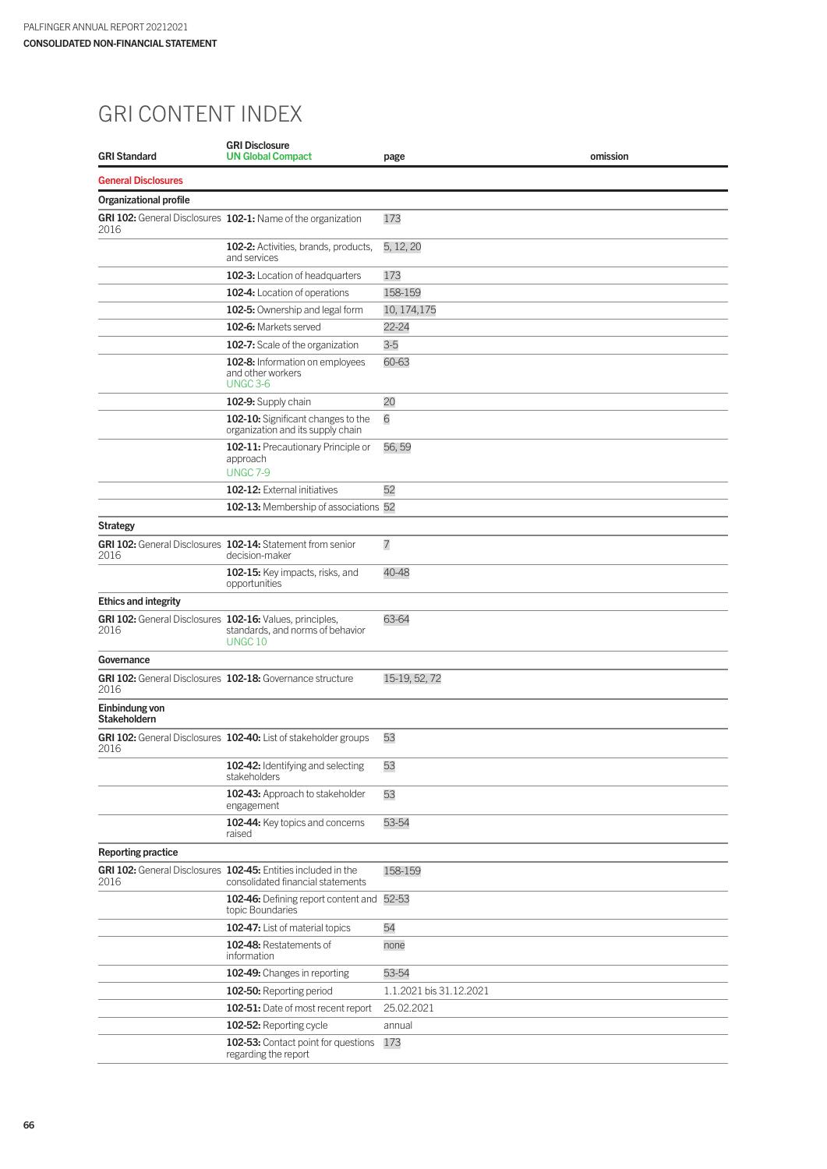## GRI CONTENT INDEX

| <b>GRI Standard</b>                                              | <b>GRI Disclosure</b><br><b>UN Global Compact</b>                                                  | page                    | omission |
|------------------------------------------------------------------|----------------------------------------------------------------------------------------------------|-------------------------|----------|
| <b>General Disclosures</b>                                       |                                                                                                    |                         |          |
| <b>Organizational profile</b>                                    |                                                                                                    |                         |          |
| 2016                                                             | GRI 102: General Disclosures 102-1: Name of the organization                                       | 173                     |          |
|                                                                  | 102-2: Activities, brands, products,<br>and services                                               | 5, 12, 20               |          |
|                                                                  | 102-3: Location of headquarters                                                                    | 173                     |          |
|                                                                  | 102-4: Location of operations                                                                      | 158-159                 |          |
|                                                                  | 102-5: Ownership and legal form                                                                    | 10, 174, 175            |          |
|                                                                  | 102-6: Markets served                                                                              | $22 - 24$               |          |
|                                                                  | 102-7: Scale of the organization                                                                   | $3-5$                   |          |
|                                                                  | 102-8: Information on employees<br>and other workers<br><b>UNGC 3-6</b>                            | 60-63                   |          |
|                                                                  | 102-9: Supply chain                                                                                | 20                      |          |
|                                                                  | 102-10: Significant changes to the<br>organization and its supply chain                            | 6                       |          |
|                                                                  | 102-11: Precautionary Principle or<br>approach<br><b>UNGC 7-9</b>                                  | 56.59                   |          |
|                                                                  | 102-12: External initiatives                                                                       | 52                      |          |
|                                                                  | 102-13: Membership of associations 52                                                              |                         |          |
| <b>Strategy</b>                                                  |                                                                                                    |                         |          |
| 2016                                                             | GRI 102: General Disclosures 102-14: Statement from senior<br>decision-maker                       | $\overline{7}$          |          |
|                                                                  | 102-15: Key impacts, risks, and<br>opportunities                                                   | 40-48                   |          |
| <b>Ethics and integrity</b>                                      |                                                                                                    |                         |          |
| GRI 102: General Disclosures 102-16: Values, principles,<br>2016 | standards, and norms of behavior<br>UNGC <sub>10</sub>                                             | 63-64                   |          |
| Governance                                                       |                                                                                                    |                         |          |
| 2016                                                             | GRI 102: General Disclosures 102-18: Governance structure                                          | 15-19, 52, 72           |          |
| Einbindung von<br><b>Stakeholdern</b>                            |                                                                                                    |                         |          |
| 2016                                                             | GRI 102: General Disclosures 102-40: List of stakeholder groups                                    | 53                      |          |
|                                                                  | 102-42: Identifying and selecting<br>stakeholders                                                  | 53                      |          |
|                                                                  | 102-43: Approach to stakeholder<br>engagement                                                      | 53                      |          |
|                                                                  | 102-44: Key topics and concerns<br>raised                                                          | 53-54                   |          |
| <b>Reporting practice</b>                                        |                                                                                                    |                         |          |
| 2016                                                             | GRI 102: General Disclosures 102-45: Entities included in the<br>consolidated financial statements | 158-159                 |          |
|                                                                  | 102-46: Defining report content and 52-53<br>topic Boundaries                                      |                         |          |
|                                                                  | 102-47: List of material topics                                                                    | 54                      |          |
|                                                                  | 102-48: Restatements of<br>information                                                             | none                    |          |
|                                                                  | 102-49: Changes in reporting                                                                       | 53-54                   |          |
|                                                                  | 102-50: Reporting period                                                                           | 1.1.2021 bis 31.12.2021 |          |
|                                                                  | 102-51: Date of most recent report                                                                 | 25.02.2021              |          |
|                                                                  | 102-52: Reporting cycle                                                                            | annual                  |          |
|                                                                  | 102-53: Contact point for questions<br>regarding the report                                        | 173                     |          |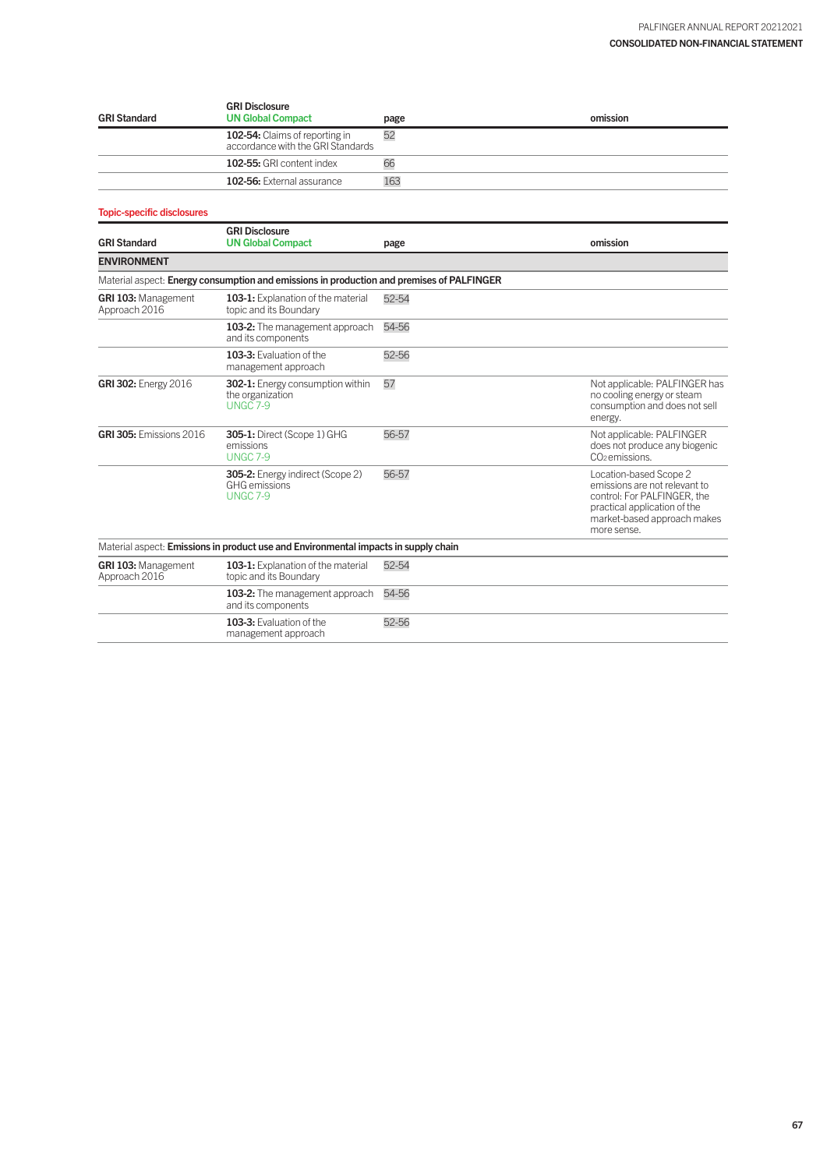| <b>GRI Standard</b> | <b>GRI Disclosure</b><br><b>UN Global Compact</b>                   | page | omission |
|---------------------|---------------------------------------------------------------------|------|----------|
|                     | 102-54: Claims of reporting in<br>accordance with the GRI Standards | 52   |          |
|                     | 102-55: GRI content index                                           | 66   |          |
|                     | 102-56: External assurance                                          | 163  |          |
|                     |                                                                     |      |          |

## Topic-specific disclosures

| <b>GRI Standard</b>                         | <b>GRI Disclosure</b><br><b>UN Global Compact</b>                                         | page  | omission                                                                                                                                                             |
|---------------------------------------------|-------------------------------------------------------------------------------------------|-------|----------------------------------------------------------------------------------------------------------------------------------------------------------------------|
| <b>ENVIRONMENT</b>                          |                                                                                           |       |                                                                                                                                                                      |
|                                             | Material aspect: Energy consumption and emissions in production and premises of PALFINGER |       |                                                                                                                                                                      |
| <b>GRI 103: Management</b><br>Approach 2016 | 103-1: Explanation of the material<br>topic and its Boundary                              | 52-54 |                                                                                                                                                                      |
|                                             | 103-2: The management approach<br>and its components                                      | 54-56 |                                                                                                                                                                      |
|                                             | 103-3: Evaluation of the<br>management approach                                           | 52-56 |                                                                                                                                                                      |
| <b>GRI 302:</b> Energy 2016                 | 302-1: Energy consumption within<br>the organization<br><b>UNGC 7-9</b>                   | 57    | Not applicable: PALFINGER has<br>no cooling energy or steam<br>consumption and does not sell<br>energy.                                                              |
| <b>GRI 305: Emissions 2016</b>              | <b>305-1: Direct (Scope 1) GHG</b><br>emissions<br><b>UNGC 7-9</b>                        | 56-57 | Not applicable: PALFINGER<br>does not produce any biogenic<br>CO <sub>2</sub> emissions.                                                                             |
|                                             | <b>305-2:</b> Energy indirect (Scope 2)<br><b>GHG</b> emissions<br><b>UNGC 7-9</b>        | 56-57 | Location-based Scope 2<br>emissions are not relevant to<br>control: For PALFINGER, the<br>practical application of the<br>market-based approach makes<br>more sense. |
|                                             | Material aspect: Emissions in product use and Environmental impacts in supply chain       |       |                                                                                                                                                                      |
| <b>GRI 103: Management</b><br>Approach 2016 | 103-1: Explanation of the material<br>topic and its Boundary                              | 52-54 |                                                                                                                                                                      |
|                                             | 103-2: The management approach<br>and its components                                      | 54-56 |                                                                                                                                                                      |
|                                             | 103-3: Evaluation of the<br>management approach                                           | 52-56 |                                                                                                                                                                      |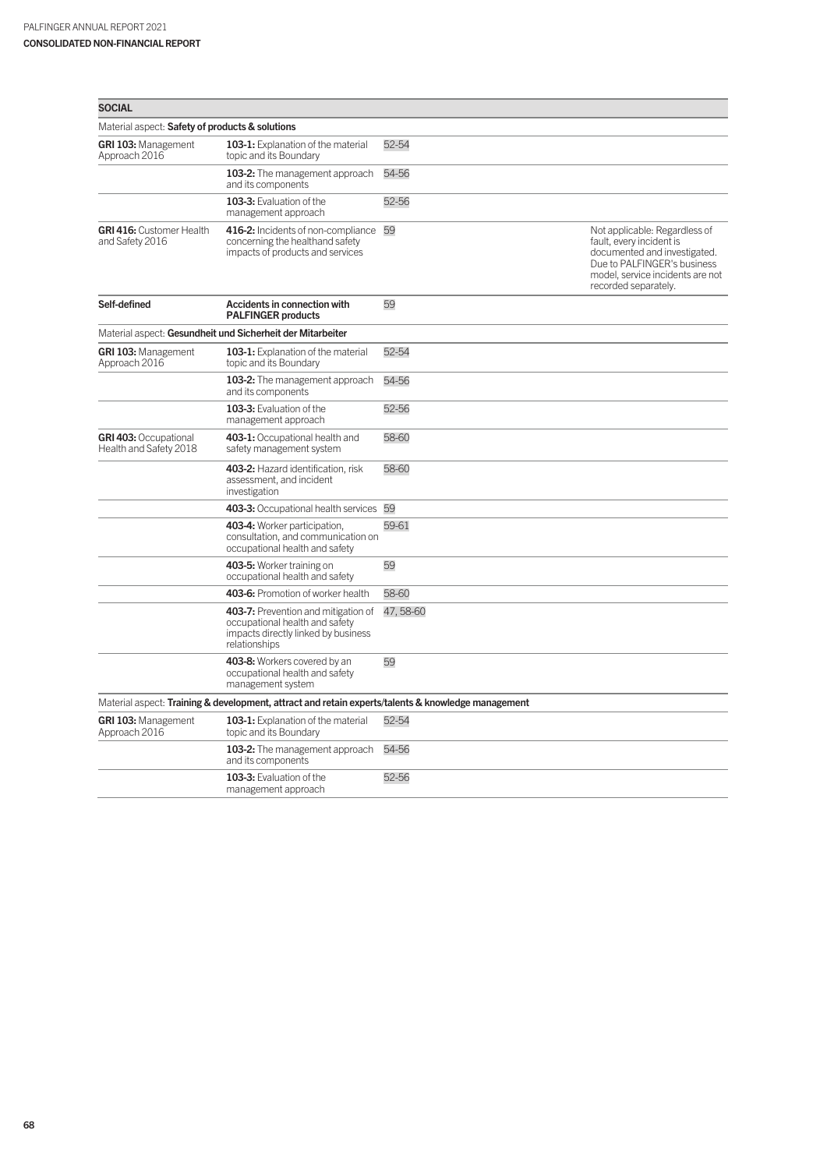| <b>SOCIAL</b>                                                                                      |                                                                                                                               |          |                                                                                                                                                                                      |  |
|----------------------------------------------------------------------------------------------------|-------------------------------------------------------------------------------------------------------------------------------|----------|--------------------------------------------------------------------------------------------------------------------------------------------------------------------------------------|--|
| Material aspect: Safety of products & solutions                                                    |                                                                                                                               |          |                                                                                                                                                                                      |  |
| GRI 103: Management<br>Approach 2016                                                               | 103-1: Explanation of the material<br>topic and its Boundary                                                                  | 52-54    |                                                                                                                                                                                      |  |
|                                                                                                    | 103-2: The management approach<br>and its components                                                                          | 54-56    |                                                                                                                                                                                      |  |
|                                                                                                    | 103-3: Evaluation of the<br>management approach                                                                               | 52-56    |                                                                                                                                                                                      |  |
| <b>GRI 416: Customer Health</b><br>and Safety 2016                                                 | 416-2: Incidents of non-compliance 59<br>concerning the healthand safety<br>impacts of products and services                  |          | Not applicable: Regardless of<br>fault, every incident is<br>documented and investigated.<br>Due to PALFINGER's business<br>model, service incidents are not<br>recorded separately. |  |
| Self-defined                                                                                       | Accidents in connection with<br><b>PALFINGER products</b>                                                                     | 59       |                                                                                                                                                                                      |  |
|                                                                                                    | Material aspect: Gesundheit und Sicherheit der Mitarbeiter                                                                    |          |                                                                                                                                                                                      |  |
| <b>GRI 103: Management</b><br>Approach 2016                                                        | 103-1: Explanation of the material<br>topic and its Boundary                                                                  | 52-54    |                                                                                                                                                                                      |  |
|                                                                                                    | 103-2: The management approach<br>and its components                                                                          | 54-56    |                                                                                                                                                                                      |  |
|                                                                                                    | 103-3: Evaluation of the<br>management approach                                                                               | 52-56    |                                                                                                                                                                                      |  |
| <b>GRI 403: Occupational</b><br>Health and Safety 2018                                             | 403-1: Occupational health and<br>safety management system                                                                    | 58-60    |                                                                                                                                                                                      |  |
|                                                                                                    | 403-2: Hazard identification, risk<br>assessment, and incident<br>investigation                                               | 58-60    |                                                                                                                                                                                      |  |
|                                                                                                    | 403-3: Occupational health services 59                                                                                        |          |                                                                                                                                                                                      |  |
|                                                                                                    | 403-4: Worker participation,<br>consultation, and communication on<br>occupational health and safety                          | 59-61    |                                                                                                                                                                                      |  |
|                                                                                                    | 403-5: Worker training on<br>occupational health and safety                                                                   | 59       |                                                                                                                                                                                      |  |
|                                                                                                    | 403-6: Promotion of worker health                                                                                             | 58-60    |                                                                                                                                                                                      |  |
|                                                                                                    | 403-7: Prevention and mitigation of<br>occupational health and safety<br>impacts directly linked by business<br>relationships | 47,58-60 |                                                                                                                                                                                      |  |
|                                                                                                    | 403-8: Workers covered by an<br>occupational health and safety<br>management system                                           | 59       |                                                                                                                                                                                      |  |
| Material aspect: Training & development, attract and retain experts/talents & knowledge management |                                                                                                                               |          |                                                                                                                                                                                      |  |
| GRI 103: Management<br>Approach 2016                                                               | 103-1: Explanation of the material<br>topic and its Boundary                                                                  | 52-54    |                                                                                                                                                                                      |  |
|                                                                                                    | 103-2: The management approach<br>and its components                                                                          | 54-56    |                                                                                                                                                                                      |  |
|                                                                                                    | 103-3: Evaluation of the<br>management approach                                                                               | 52-56    |                                                                                                                                                                                      |  |